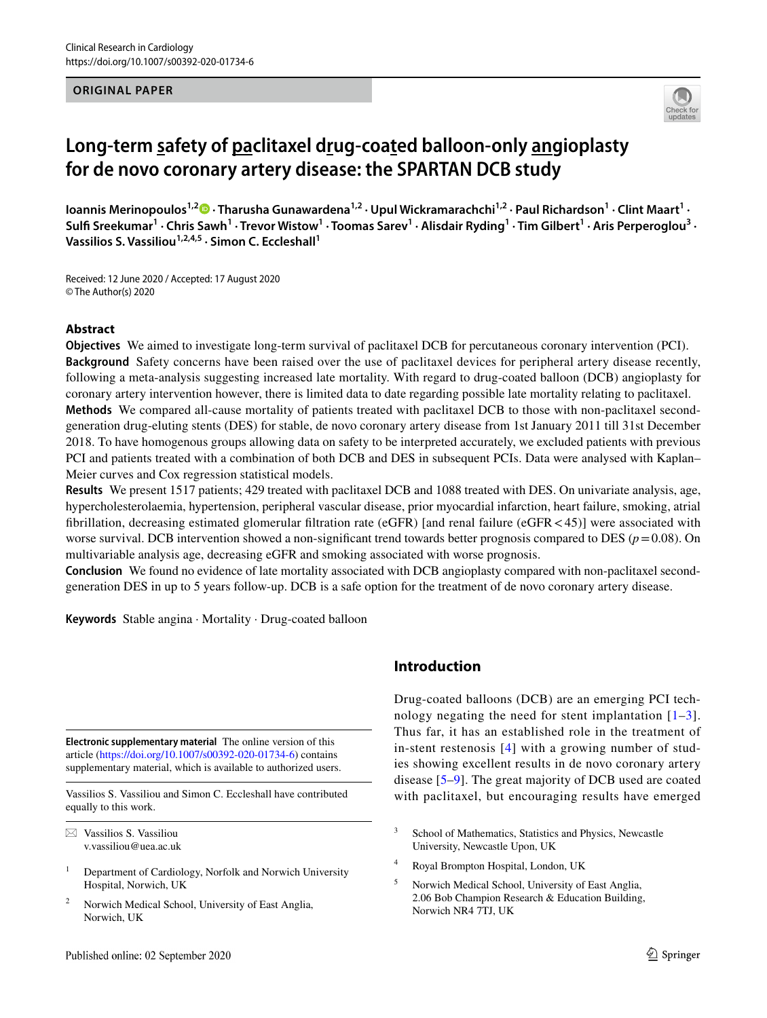#### **ORIGINAL PAPER**



# **Long‑term safety of paclitaxel drug‑coated balloon‑only angioplasty for de novo coronary artery disease: the SPARTAN DCB study**

**IoannisMerinopoulos<sup>1,2</sup><sup>®</sup> · Tharusha Gunawardena<sup>1,2</sup> · Upul Wickramarachchi<sup>1,2</sup> · Paul Richardson<sup>1</sup> · Clint Maart<sup>1</sup> ·** Sulfi Sreekumar<sup>1</sup> • Chris Sawh<sup>1</sup> • Trevor Wistow<sup>1</sup> • Toomas Sarev<sup>1</sup> • Alisdair Ryding<sup>1</sup> • Tim Gilbert<sup>1</sup> • Aris Perperoglou<sup>3</sup> • **Vassilios S. Vassiliou1,2,4,5 · Simon C. Eccleshall1**

Received: 12 June 2020 / Accepted: 17 August 2020 © The Author(s) 2020

#### **Abstract**

**Objectives** We aimed to investigate long-term survival of paclitaxel DCB for percutaneous coronary intervention (PCI). **Background** Safety concerns have been raised over the use of paclitaxel devices for peripheral artery disease recently, following a meta-analysis suggesting increased late mortality. With regard to drug-coated balloon (DCB) angioplasty for coronary artery intervention however, there is limited data to date regarding possible late mortality relating to paclitaxel. **Methods** We compared all-cause mortality of patients treated with paclitaxel DCB to those with non-paclitaxel secondgeneration drug-eluting stents (DES) for stable, de novo coronary artery disease from 1st January 2011 till 31st December 2018. To have homogenous groups allowing data on safety to be interpreted accurately, we excluded patients with previous PCI and patients treated with a combination of both DCB and DES in subsequent PCIs. Data were analysed with Kaplan– Meier curves and Cox regression statistical models.

**Results** We present 1517 patients; 429 treated with paclitaxel DCB and 1088 treated with DES. On univariate analysis, age, hypercholesterolaemia, hypertension, peripheral vascular disease, prior myocardial infarction, heart failure, smoking, atrial fbrillation, decreasing estimated glomerular fltration rate (eGFR) [and renal failure (eGFR<45)] were associated with worse survival. DCB intervention showed a non-significant trend towards better prognosis compared to DES ( $p = 0.08$ ). On multivariable analysis age, decreasing eGFR and smoking associated with worse prognosis.

**Conclusion** We found no evidence of late mortality associated with DCB angioplasty compared with non-paclitaxel secondgeneration DES in up to 5 years follow-up. DCB is a safe option for the treatment of de novo coronary artery disease.

**Keywords** Stable angina · Mortality · Drug-coated balloon

**Electronic supplementary material** The online version of this article [\(https://doi.org/10.1007/s00392-020-01734-6\)](https://doi.org/10.1007/s00392-020-01734-6) contains supplementary material, which is available to authorized users.

Vassilios S. Vassiliou and Simon C. Eccleshall have contributed equally to this work.

 $\boxtimes$  Vassilios S. Vassiliou v.vassiliou@uea.ac.uk

- <sup>1</sup> Department of Cardiology, Norfolk and Norwich University Hospital, Norwich, UK
- <sup>2</sup> Norwich Medical School, University of East Anglia, Norwich, UK

## **Introduction**

Drug-coated balloons (DCB) are an emerging PCI technology negating the need for stent implantation  $[1-3]$  $[1-3]$  $[1-3]$  $[1-3]$  $[1-3]$ . Thus far, it has an established role in the treatment of in-stent restenosis [[4\]](#page-6-2) with a growing number of studies showing excellent results in de novo coronary artery disease [\[5](#page-6-3)–[9\]](#page-6-4). The great majority of DCB used are coated with paclitaxel, but encouraging results have emerged

- <sup>3</sup> School of Mathematics, Statistics and Physics, Newcastle University, Newcastle Upon, UK
- <sup>4</sup> Royal Brompton Hospital, London, UK
- <sup>5</sup> Norwich Medical School, University of East Anglia, 2.06 Bob Champion Research & Education Building, Norwich NR4 7TJ, UK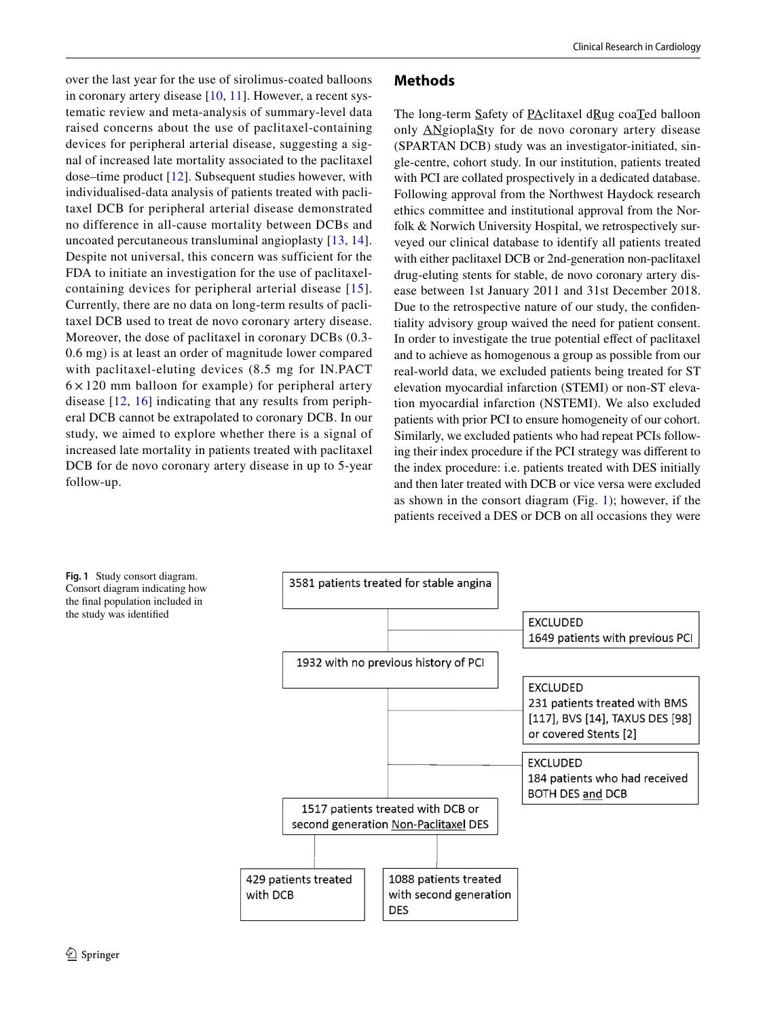over the last year for the use of sirolimus-coated balloons in coronary artery disease [[10](#page-6-5), [11](#page-6-6)]. However, a recent systematic review and meta-analysis of summary-level data raised concerns about the use of paclitaxel-containing devices for peripheral arterial disease, suggesting a signal of increased late mortality associated to the paclitaxel dose–time product [[12\]](#page-6-7). Subsequent studies however, with individualised-data analysis of patients treated with paclitaxel DCB for peripheral arterial disease demonstrated no difference in all-cause mortality between DCBs and uncoated percutaneous transluminal angioplasty [\[13,](#page-6-8) [14](#page-6-9)]. Despite not universal, this concern was sufficient for the FDA to initiate an investigation for the use of paclitaxelcontaining devices for peripheral arterial disease [[15](#page-6-10)]. Currently, there are no data on long-term results of paclitaxel DCB used to treat de novo coronary artery disease. Moreover, the dose of paclitaxel in coronary DCBs (0.3- 0.6 mg) is at least an order of magnitude lower compared with paclitaxel-eluting devices (8.5 mg for IN.PACT  $6 \times 120$  mm balloon for example) for peripheral artery disease [\[12,](#page-6-7) [16](#page-6-11)] indicating that any results from peripheral DCB cannot be extrapolated to coronary DCB. In our study, we aimed to explore whether there is a signal of increased late mortality in patients treated with paclitaxel DCB for de novo coronary artery disease in up to 5-year follow-up.

## **Methods**

The long-term Safety of PAclitaxel dRug coaTed balloon only  $\Delta$ Ngiopla $\Delta$ ty for de novo coronary artery disease (SPARTAN DCB) study was an investigator-initiated, single-centre, cohort study. In our institution, patients treated with PCI are collated prospectively in a dedicated database. Following approval from the Northwest Haydock research ethics committee and institutional approval from the Norfolk & Norwich University Hospital, we retrospectively surveyed our clinical database to identify all patients treated with either paclitaxel DCB or 2nd-generation non-paclitaxel drug-eluting stents for stable, de novo coronary artery disease between 1st January 2011 and 31st December 2018. Due to the retrospective nature of our study, the confdentiality advisory group waived the need for patient consent. In order to investigate the true potential effect of paclitaxel and to achieve as homogenous a group as possible from our real-world data, we excluded patients being treated for ST elevation myocardial infarction (STEMI) or non-ST elevation myocardial infarction (NSTEMI). We also excluded patients with prior PCI to ensure homogeneity of our cohort. Similarly, we excluded patients who had repeat PCIs following their index procedure if the PCI strategy was diferent to the index procedure: i.e. patients treated with DES initially and then later treated with DCB or vice versa were excluded as shown in the consort diagram (Fig. [1\)](#page-1-0); however, if the patients received a DES or DCB on all occasions they were

<span id="page-1-0"></span>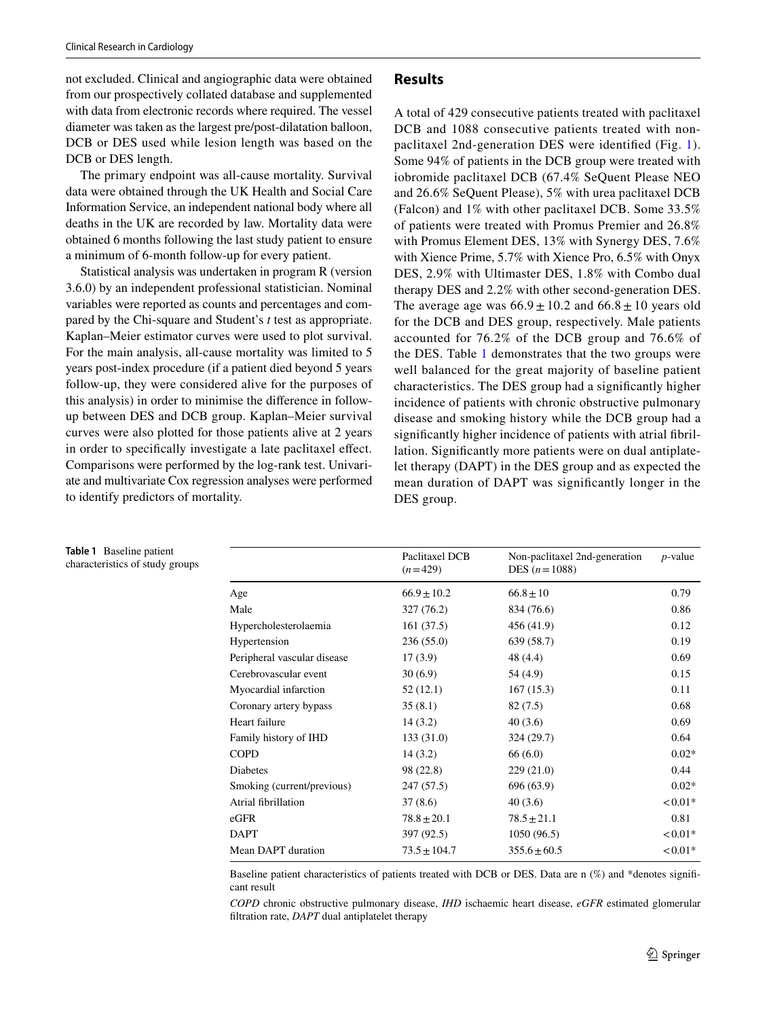not excluded. Clinical and angiographic data were obtained from our prospectively collated database and supplemented with data from electronic records where required. The vessel diameter was taken as the largest pre/post-dilatation balloon, DCB or DES used while lesion length was based on the DCB or DES length.

The primary endpoint was all-cause mortality. Survival data were obtained through the UK Health and Social Care Information Service, an independent national body where all deaths in the UK are recorded by law. Mortality data were obtained 6 months following the last study patient to ensure a minimum of 6-month follow-up for every patient.

Statistical analysis was undertaken in program R (version 3.6.0) by an independent professional statistician. Nominal variables were reported as counts and percentages and compared by the Chi-square and Student's *t* test as appropriate. Kaplan–Meier estimator curves were used to plot survival. For the main analysis, all-cause mortality was limited to 5 years post-index procedure (if a patient died beyond 5 years follow-up, they were considered alive for the purposes of this analysis) in order to minimise the diference in followup between DES and DCB group. Kaplan–Meier survival curves were also plotted for those patients alive at 2 years in order to specifically investigate a late paclitaxel effect. Comparisons were performed by the log-rank test. Univariate and multivariate Cox regression analyses were performed to identify predictors of mortality.

## **Results**

A total of 429 consecutive patients treated with paclitaxel DCB and 1088 consecutive patients treated with nonpaclitaxel 2nd-generation DES were identifed (Fig. [1](#page-1-0)). Some 94% of patients in the DCB group were treated with iobromide paclitaxel DCB (67.4% SeQuent Please NEO and 26.6% SeQuent Please), 5% with urea paclitaxel DCB (Falcon) and 1% with other paclitaxel DCB. Some 33.5% of patients were treated with Promus Premier and 26.8% with Promus Element DES, 13% with Synergy DES, 7.6% with Xience Prime, 5.7% with Xience Pro, 6.5% with Onyx DES, 2.9% with Ultimaster DES, 1.8% with Combo dual therapy DES and 2.2% with other second-generation DES. The average age was  $66.9 \pm 10.2$  and  $66.8 \pm 10$  years old for the DCB and DES group, respectively. Male patients accounted for 76.2% of the DCB group and 76.6% of the DES. Table [1](#page-2-0) demonstrates that the two groups were well balanced for the great majority of baseline patient characteristics. The DES group had a signifcantly higher incidence of patients with chronic obstructive pulmonary disease and smoking history while the DCB group had a signifcantly higher incidence of patients with atrial fbrillation. Signifcantly more patients were on dual antiplatelet therapy (DAPT) in the DES group and as expected the mean duration of DAPT was signifcantly longer in the DES group.

|                             | Paclitaxel DCB<br>$(n=429)$ | Non-paclitaxel 2nd-generation<br>DES $(n = 1088)$ | $p$ -value |
|-----------------------------|-----------------------------|---------------------------------------------------|------------|
| Age                         | $66.9 \pm 10.2$             | $66.8 \pm 10$                                     | 0.79       |
| Male                        | 327 (76.2)                  | 834 (76.6)                                        | 0.86       |
| Hypercholesterolaemia       | 161(37.5)                   | 456 (41.9)                                        | 0.12       |
| Hypertension                | 236(55.0)                   | 639 (58.7)                                        | 0.19       |
| Peripheral vascular disease | 17(3.9)                     | 48 (4.4)                                          | 0.69       |
| Cerebrovascular event       | 30(6.9)                     | 54 (4.9)                                          | 0.15       |
| Myocardial infarction       | 52(12.1)                    | 167(15.3)                                         | 0.11       |
| Coronary artery bypass      | 35(8.1)                     | 82 (7.5)                                          | 0.68       |
| Heart failure               | 14(3.2)                     | 40(3.6)                                           | 0.69       |
| Family history of IHD       | 133(31.0)                   | 324 (29.7)                                        | 0.64       |
| COPD                        | 14(3.2)                     | 66 (6.0)                                          | $0.02*$    |
| Diabetes                    | 98 (22.8)                   | 229(21.0)                                         | 0.44       |
| Smoking (current/previous)  | 247(57.5)                   | 696 (63.9)                                        | $0.02*$    |
| Atrial fibrillation         | 37(8.6)                     | 40(3.6)                                           | $< 0.01*$  |
| eGFR                        | $78.8 \pm 20.1$             | $78.5 \pm 21.1$                                   | 0.81       |
| DAPT                        | 397 (92.5)                  | 1050(96.5)                                        | $< 0.01*$  |
| Mean DAPT duration          | $73.5 \pm 104.7$            | $355.6 \pm 60.5$                                  | $< 0.01*$  |

Baseline patient characteristics of patients treated with DCB or DES. Data are n  $(\%)$  and \*denotes significant result

*COPD* chronic obstructive pulmonary disease, *IHD* ischaemic heart disease, *eGFR* estimated glomerular fltration rate, *DAPT* dual antiplatelet therapy

<span id="page-2-0"></span>**Table 1** Baseline patient characteristics of study groups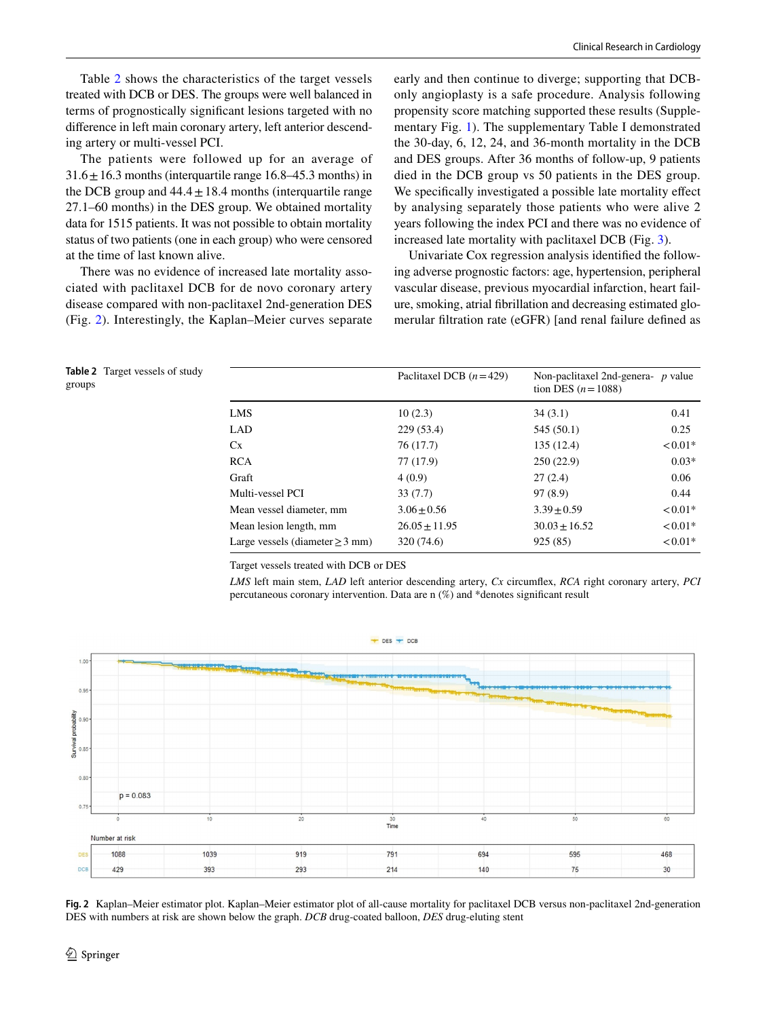Table [2](#page-3-0) shows the characteristics of the target vessels treated with DCB or DES. The groups were well balanced in terms of prognostically signifcant lesions targeted with no diference in left main coronary artery, left anterior descending artery or multi-vessel PCI.

The patients were followed up for an average of  $31.6 \pm 16.3$  months (interquartile range 16.8–45.3 months) in the DCB group and  $44.4 \pm 18.4$  months (interquartile range 27.1–60 months) in the DES group. We obtained mortality data for 1515 patients. It was not possible to obtain mortality status of two patients (one in each group) who were censored at the time of last known alive.

There was no evidence of increased late mortality associated with paclitaxel DCB for de novo coronary artery disease compared with non-paclitaxel 2nd-generation DES (Fig. [2](#page-3-1)). Interestingly, the Kaplan–Meier curves separate early and then continue to diverge; supporting that DCBonly angioplasty is a safe procedure. Analysis following propensity score matching supported these results (Supplementary Fig. [1\)](#page-1-0). The supplementary Table I demonstrated the 30-day, 6, 12, 24, and 36-month mortality in the DCB and DES groups. After 36 months of follow-up, 9 patients died in the DCB group vs 50 patients in the DES group. We specifically investigated a possible late mortality effect by analysing separately those patients who were alive 2 years following the index PCI and there was no evidence of increased late mortality with paclitaxel DCB (Fig. [3\)](#page-4-0).

Univariate Cox regression analysis identifed the following adverse prognostic factors: age, hypertension, peripheral vascular disease, previous myocardial infarction, heart failure, smoking, atrial fbrillation and decreasing estimated glomerular fltration rate (eGFR) [and renal failure defned as

<span id="page-3-0"></span>

| Table 2 Target vessels of study<br>groups |                                      | Paclitaxel DCB $(n=429)$ | Non-paclitaxel 2nd-genera- $p$ value<br>tion DES $(n=1088)$ |           |
|-------------------------------------------|--------------------------------------|--------------------------|-------------------------------------------------------------|-----------|
|                                           | <b>LMS</b>                           | 10(2.3)                  | 34(3.1)                                                     | 0.41      |
|                                           | <b>LAD</b>                           | 229(53.4)                | 545 (50.1)                                                  | 0.25      |
|                                           | Cx                                   | 76(17.7)                 | 135(12.4)                                                   | $< 0.01*$ |
|                                           | <b>RCA</b>                           | 77(17.9)                 | 250(22.9)                                                   | $0.03*$   |
|                                           | Graft                                | 4(0.9)                   | 27(2.4)                                                     | 0.06      |
|                                           | Multi-vessel PCI                     | 33(7.7)                  | 97(8.9)                                                     | 0.44      |
|                                           | Mean vessel diameter, mm             | $3.06 \pm 0.56$          | $3.39 \pm 0.59$                                             | $< 0.01*$ |
|                                           | Mean lesion length, mm               | $26.05 \pm 11.95$        | $30.03 \pm 16.52$                                           | $< 0.01*$ |
|                                           | Large vessels (diameter $\geq$ 3 mm) | 320 (74.6)               | 925 (85)                                                    | $< 0.01*$ |
|                                           |                                      |                          |                                                             |           |

Target vessels treated with DCB or DES

*LMS* left main stem, *LAD* left anterior descending artery, *Cx* circumfex, *RCA* right coronary artery, *PCI* percutaneous coronary intervention. Data are n (%) and \*denotes signifcant result



<span id="page-3-1"></span>**Fig. 2** Kaplan–Meier estimator plot. Kaplan–Meier estimator plot of all-cause mortality for paclitaxel DCB versus non-paclitaxel 2nd-generation DES with numbers at risk are shown below the graph. *DCB* drug-coated balloon, *DES* drug-eluting stent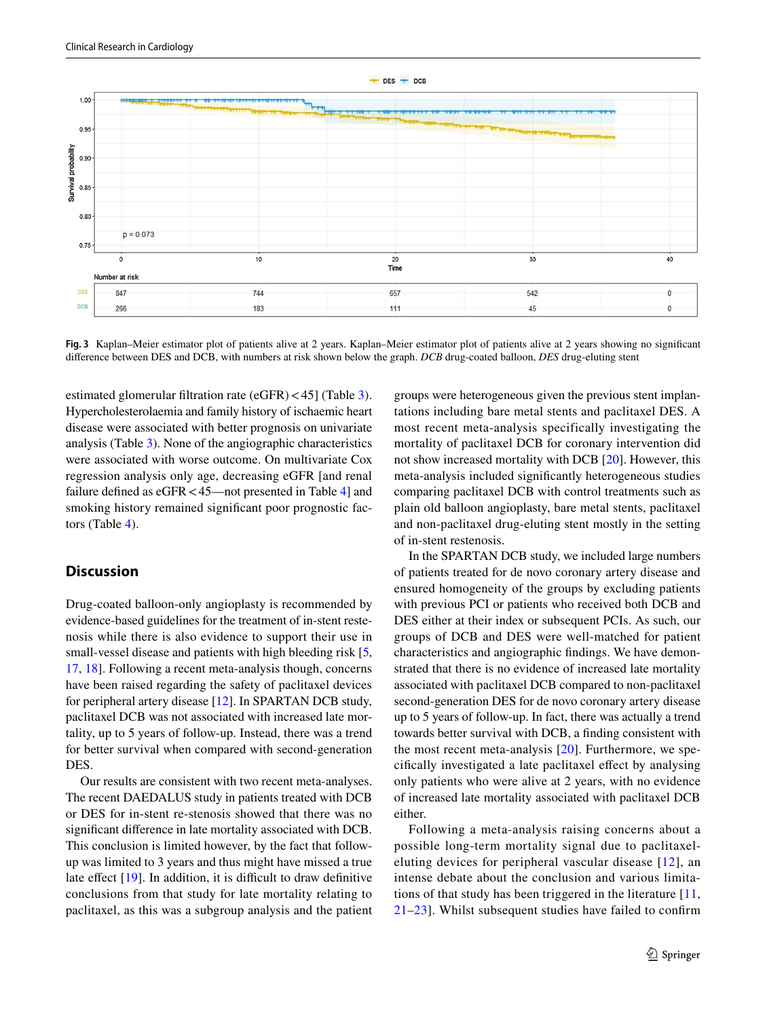

<span id="page-4-0"></span>**Fig. 3** Kaplan–Meier estimator plot of patients alive at 2 years. Kaplan–Meier estimator plot of patients alive at 2 years showing no signifcant diference between DES and DCB, with numbers at risk shown below the graph. *DCB* drug-coated balloon, *DES* drug-eluting stent

estimated glomerular fltration rate (eGFR)<45] (Table [3](#page-5-0)). Hypercholesterolaemia and family history of ischaemic heart disease were associated with better prognosis on univariate analysis (Table [3\)](#page-5-0). None of the angiographic characteristics were associated with worse outcome. On multivariate Cox regression analysis only age, decreasing eGFR [and renal failure defned as eGFR<45—not presented in Table [4](#page-5-1)] and smoking history remained signifcant poor prognostic factors (Table [4](#page-5-1)).

## **Discussion**

Drug-coated balloon-only angioplasty is recommended by evidence-based guidelines for the treatment of in-stent restenosis while there is also evidence to support their use in small-vessel disease and patients with high bleeding risk [[5,](#page-6-3) [17](#page-6-12), [18](#page-6-13)]. Following a recent meta-analysis though, concerns have been raised regarding the safety of paclitaxel devices for peripheral artery disease [[12\]](#page-6-7). In SPARTAN DCB study, paclitaxel DCB was not associated with increased late mortality, up to 5 years of follow-up. Instead, there was a trend for better survival when compared with second-generation DES.

Our results are consistent with two recent meta-analyses. The recent DAEDALUS study in patients treated with DCB or DES for in-stent re-stenosis showed that there was no signifcant diference in late mortality associated with DCB. This conclusion is limited however, by the fact that followup was limited to 3 years and thus might have missed a true late effect  $[19]$  $[19]$  $[19]$ . In addition, it is difficult to draw definitive conclusions from that study for late mortality relating to paclitaxel, as this was a subgroup analysis and the patient

groups were heterogeneous given the previous stent implantations including bare metal stents and paclitaxel DES. A most recent meta-analysis specifically investigating the mortality of paclitaxel DCB for coronary intervention did not show increased mortality with DCB [[20\]](#page-6-15). However, this meta-analysis included signifcantly heterogeneous studies comparing paclitaxel DCB with control treatments such as plain old balloon angioplasty, bare metal stents, paclitaxel and non-paclitaxel drug-eluting stent mostly in the setting of in-stent restenosis.

In the SPARTAN DCB study, we included large numbers of patients treated for de novo coronary artery disease and ensured homogeneity of the groups by excluding patients with previous PCI or patients who received both DCB and DES either at their index or subsequent PCIs. As such, our groups of DCB and DES were well-matched for patient characteristics and angiographic fndings. We have demonstrated that there is no evidence of increased late mortality associated with paclitaxel DCB compared to non-paclitaxel second-generation DES for de novo coronary artery disease up to 5 years of follow-up. In fact, there was actually a trend towards better survival with DCB, a fnding consistent with the most recent meta-analysis [[20\]](#page-6-15). Furthermore, we specifcally investigated a late paclitaxel efect by analysing only patients who were alive at 2 years, with no evidence of increased late mortality associated with paclitaxel DCB either.

Following a meta-analysis raising concerns about a possible long-term mortality signal due to paclitaxeleluting devices for peripheral vascular disease [[12\]](#page-6-7), an intense debate about the conclusion and various limitations of that study has been triggered in the literature [\[11,](#page-6-6) [21–](#page-6-16)[23](#page-7-0)]. Whilst subsequent studies have failed to confrm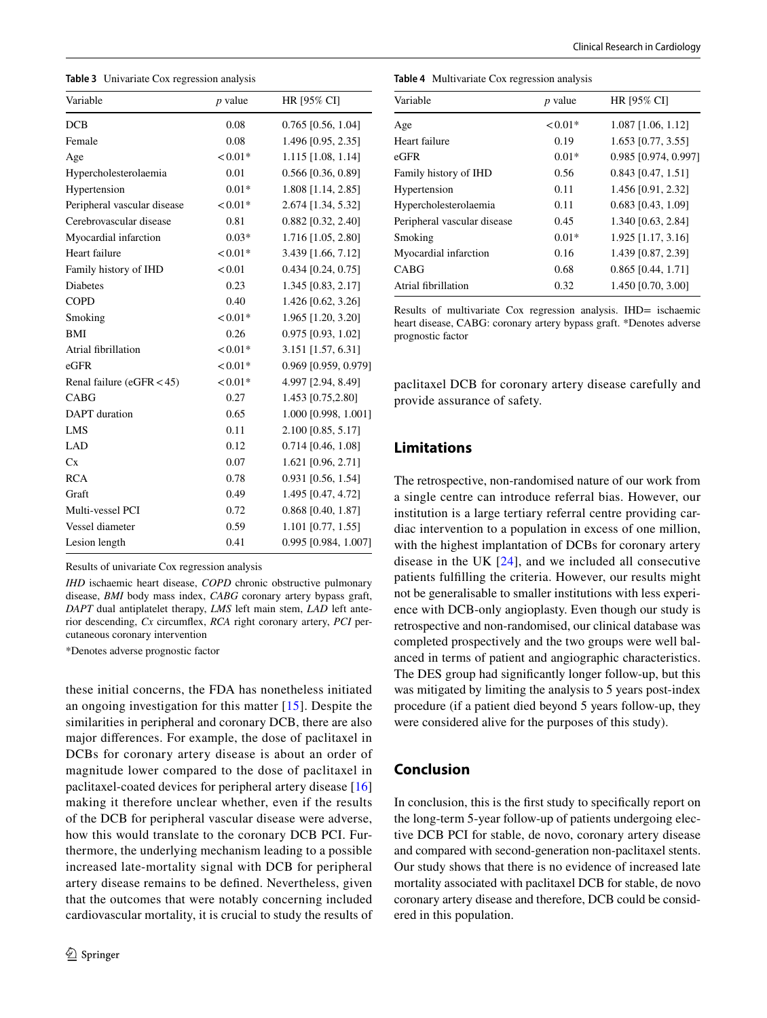<span id="page-5-0"></span>

| Variable                      | $p$ value  | HR [95% CI]          |
|-------------------------------|------------|----------------------|
| DCB                           | 0.08       | $0.765$ [0.56, 1.04] |
| Female                        | 0.08       | 1.496 [0.95, 2.35]   |
| Age                           | $<0.01*$   | 1.115 [1.08, 1.14]   |
| Hypercholesterolaemia         | 0.01       | 0.566 [0.36, 0.89]   |
| Hypertension                  | $0.01*$    | 1.808 [1.14, 2.85]   |
| Peripheral vascular disease   | $< 0.01*$  | 2.674 [1.34, 5.32]   |
| Cerebrovascular disease       | 0.81       | 0.882 [0.32, 2.40]   |
| Myocardial infarction         | $0.03*$    | 1.716 [1.05, 2.80]   |
| Heart failure                 | $< 0.01*$  | 3.439 [1.66, 7.12]   |
| Family history of IHD         | < 0.01     | 0.434 [0.24, 0.75]   |
| <b>Diabetes</b>               | 0.23       | 1.345 [0.83, 2.17]   |
| <b>COPD</b>                   | 0.40       | 1.426 [0.62, 3.26]   |
| Smoking                       | $< 0.01*$  | 1.965 [1.20, 3.20]   |
| <b>BMI</b>                    | 0.26       | 0.975 [0.93, 1.02]   |
| Atrial fibrillation           | $<0.01*$   | 3.151 [1.57, 6.31]   |
| $e$ GFR                       | ${<}0.01*$ | 0.969 [0.959, 0.979] |
| Renal failure ( $eGFR < 45$ ) | ${<}0.01*$ | 4.997 [2.94, 8.49]   |
| CABG                          | 0.27       | 1.453 [0.75,2.80]    |
| DAPT duration                 | 0.65       | 1.000 [0.998, 1.001] |
| LMS                           | 0.11       | 2.100 [0.85, 5.17]   |
| <b>LAD</b>                    | 0.12       | 0.714 [0.46, 1.08]   |
| Cx                            | 0.07       | 1.621 [0.96, 2.71]   |
| <b>RCA</b>                    | 0.78       | $0.931$ [0.56, 1.54] |
| Graft                         | 0.49       | 1.495 [0.47, 4.72]   |
| Multi-vessel PCI              | 0.72       | $0.868$ [0.40, 1.87] |
| Vessel diameter               | 0.59       | 1.101 [0.77, 1.55]   |
| Lesion length                 | 0.41       | 0.995 [0.984, 1.007] |

Results of univariate Cox regression analysis

*IHD* ischaemic heart disease, *COPD* chronic obstructive pulmonary disease, *BMI* body mass index, *CABG* coronary artery bypass graft, *DAPT* dual antiplatelet therapy, *LMS* left main stem, *LAD* left anterior descending, *Cx* circumfex, *RCA* right coronary artery, *PCI* percutaneous coronary intervention

\*Denotes adverse prognostic factor

these initial concerns, the FDA has nonetheless initiated an ongoing investigation for this matter [\[15\]](#page-6-10). Despite the similarities in peripheral and coronary DCB, there are also major diferences. For example, the dose of paclitaxel in DCBs for coronary artery disease is about an order of magnitude lower compared to the dose of paclitaxel in paclitaxel-coated devices for peripheral artery disease [[16\]](#page-6-11) making it therefore unclear whether, even if the results of the DCB for peripheral vascular disease were adverse, how this would translate to the coronary DCB PCI. Furthermore, the underlying mechanism leading to a possible increased late-mortality signal with DCB for peripheral artery disease remains to be defned. Nevertheless, given that the outcomes that were notably concerning included cardiovascular mortality, it is crucial to study the results of

<span id="page-5-1"></span>

| <b>Table 4</b> Multivariate Cox regression analysis |
|-----------------------------------------------------|
|                                                     |

| <i>p</i> value | <b>HR [95% CI]</b>   |
|----------------|----------------------|
| $< 0.01*$      | 1.087 [1.06, 1.12]   |
| 0.19           | 1.653 [0.77, 3.55]   |
| $0.01*$        | 0.985 [0.974, 0.997] |
| 0.56           | $0.843$ [0.47, 1.51] |
| 0.11           | 1.456 [0.91, 2.32]   |
| 0.11           | 0.683 [0.43, 1.09]   |
| 0.45           | 1.340 [0.63, 2.84]   |
| $0.01*$        | 1.925 [1.17, 3.16]   |
| 0.16           | 1.439 [0.87, 2.39]   |
| 0.68           | $0.865$ [0.44, 1.71] |
| 0.32           | 1.450 [0.70, 3.00]   |
|                |                      |

Results of multivariate Cox regression analysis. IHD= ischaemic heart disease, CABG: coronary artery bypass graft. \*Denotes adverse prognostic factor

paclitaxel DCB for coronary artery disease carefully and provide assurance of safety.

## **Limitations**

The retrospective, non-randomised nature of our work from a single centre can introduce referral bias. However, our institution is a large tertiary referral centre providing cardiac intervention to a population in excess of one million, with the highest implantation of DCBs for coronary artery disease in the UK [[24](#page-7-1)], and we included all consecutive patients fulflling the criteria. However, our results might not be generalisable to smaller institutions with less experience with DCB-only angioplasty. Even though our study is retrospective and non-randomised, our clinical database was completed prospectively and the two groups were well balanced in terms of patient and angiographic characteristics. The DES group had signifcantly longer follow-up, but this was mitigated by limiting the analysis to 5 years post-index procedure (if a patient died beyond 5 years follow-up, they were considered alive for the purposes of this study).

#### **Conclusion**

In conclusion, this is the frst study to specifcally report on the long-term 5-year follow-up of patients undergoing elective DCB PCI for stable, de novo, coronary artery disease and compared with second-generation non-paclitaxel stents. Our study shows that there is no evidence of increased late mortality associated with paclitaxel DCB for stable, de novo coronary artery disease and therefore, DCB could be considered in this population.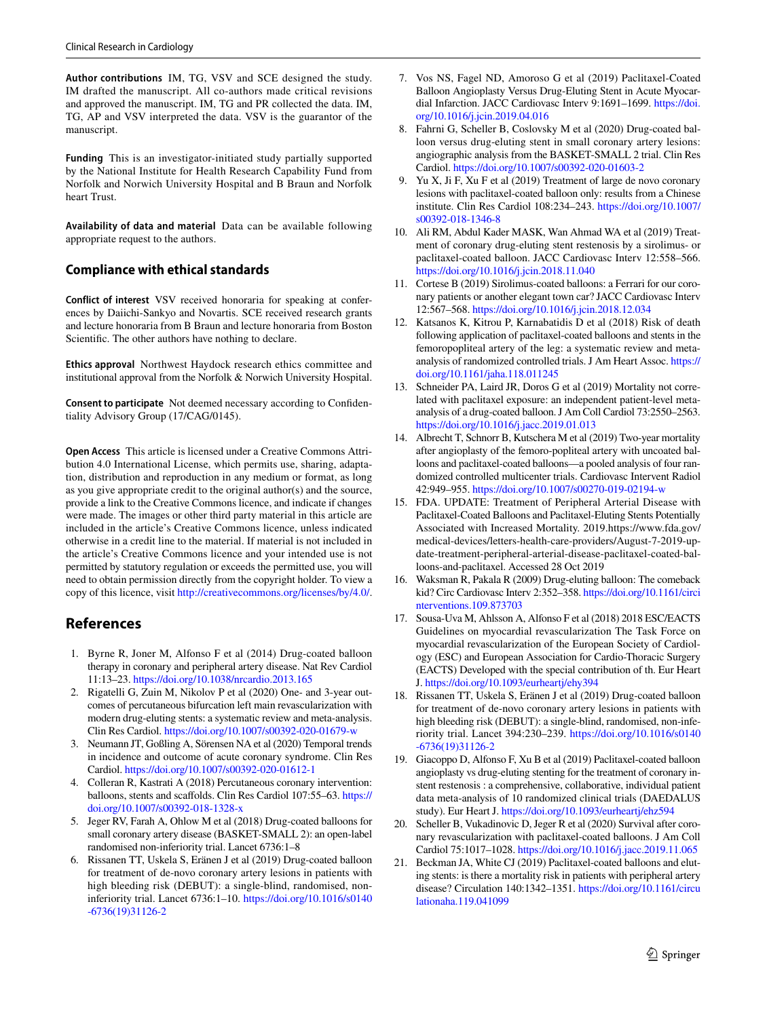**Author contributions** IM, TG, VSV and SCE designed the study. IM drafted the manuscript. All co-authors made critical revisions and approved the manuscript. IM, TG and PR collected the data. IM, TG, AP and VSV interpreted the data. VSV is the guarantor of the manuscript.

**Funding** This is an investigator-initiated study partially supported by the National Institute for Health Research Capability Fund from Norfolk and Norwich University Hospital and B Braun and Norfolk heart Trust.

**Availability of data and material** Data can be available following appropriate request to the authors.

## **Compliance with ethical standards**

**Conflict of interest** VSV received honoraria for speaking at conferences by Daiichi-Sankyo and Novartis. SCE received research grants and lecture honoraria from B Braun and lecture honoraria from Boston Scientifc. The other authors have nothing to declare.

**Ethics approval** Northwest Haydock research ethics committee and institutional approval from the Norfolk & Norwich University Hospital.

**Consent to participate** Not deemed necessary according to Confdentiality Advisory Group (17/CAG/0145).

**Open Access** This article is licensed under a Creative Commons Attribution 4.0 International License, which permits use, sharing, adaptation, distribution and reproduction in any medium or format, as long as you give appropriate credit to the original author(s) and the source, provide a link to the Creative Commons licence, and indicate if changes were made. The images or other third party material in this article are included in the article's Creative Commons licence, unless indicated otherwise in a credit line to the material. If material is not included in the article's Creative Commons licence and your intended use is not permitted by statutory regulation or exceeds the permitted use, you will need to obtain permission directly from the copyright holder. To view a copy of this licence, visit <http://creativecommons.org/licenses/by/4.0/>.

## **References**

- <span id="page-6-0"></span>1. Byrne R, Joner M, Alfonso F et al (2014) Drug-coated balloon therapy in coronary and peripheral artery disease. Nat Rev Cardiol 11:13–23. <https://doi.org/10.1038/nrcardio.2013.165>
- 2. Rigatelli G, Zuin M, Nikolov P et al (2020) One- and 3-year outcomes of percutaneous bifurcation left main revascularization with modern drug-eluting stents: a systematic review and meta-analysis. Clin Res Cardiol. <https://doi.org/10.1007/s00392-020-01679-w>
- <span id="page-6-1"></span>3. Neumann JT, Goßling A, Sörensen NA et al (2020) Temporal trends in incidence and outcome of acute coronary syndrome. Clin Res Cardiol.<https://doi.org/10.1007/s00392-020-01612-1>
- <span id="page-6-2"></span>4. Colleran R, Kastrati A (2018) Percutaneous coronary intervention: balloons, stents and scaffolds. Clin Res Cardiol 107:55-63. [https://](https://doi.org/10.1007/s00392-018-1328-x) [doi.org/10.1007/s00392-018-1328-x](https://doi.org/10.1007/s00392-018-1328-x)
- <span id="page-6-3"></span>5. Jeger RV, Farah A, Ohlow M et al (2018) Drug-coated balloons for small coronary artery disease (BASKET-SMALL 2): an open-label randomised non-inferiority trial. Lancet 6736:1–8
- 6. Rissanen TT, Uskela S, Eränen J et al (2019) Drug-coated balloon for treatment of de-novo coronary artery lesions in patients with high bleeding risk (DEBUT): a single-blind, randomised, noninferiority trial. Lancet 6736:1–10. [https://doi.org/10.1016/s0140](https://doi.org/10.1016/s0140-6736(19)31126-2) [-6736\(19\)31126-2](https://doi.org/10.1016/s0140-6736(19)31126-2)
- 7. Vos NS, Fagel ND, Amoroso G et al (2019) Paclitaxel-Coated Balloon Angioplasty Versus Drug-Eluting Stent in Acute Myocardial Infarction. JACC Cardiovasc Interv 9:1691–1699. [https://doi.](https://doi.org/10.1016/j.jcin.2019.04.016) [org/10.1016/j.jcin.2019.04.016](https://doi.org/10.1016/j.jcin.2019.04.016)
- 8. Fahrni G, Scheller B, Coslovsky M et al (2020) Drug-coated balloon versus drug-eluting stent in small coronary artery lesions: angiographic analysis from the BASKET-SMALL 2 trial. Clin Res Cardiol.<https://doi.org/10.1007/s00392-020-01603-2>
- <span id="page-6-4"></span>9. Yu X, Ji F, Xu F et al (2019) Treatment of large de novo coronary lesions with paclitaxel-coated balloon only: results from a Chinese institute. Clin Res Cardiol 108:234–243. [https://doi.org/10.1007/](https://doi.org/10.1007/s00392-018-1346-8) [s00392-018-1346-8](https://doi.org/10.1007/s00392-018-1346-8)
- <span id="page-6-5"></span>10. Ali RM, Abdul Kader MASK, Wan Ahmad WA et al (2019) Treatment of coronary drug-eluting stent restenosis by a sirolimus- or paclitaxel-coated balloon. JACC Cardiovasc Interv 12:558–566. <https://doi.org/10.1016/j.jcin.2018.11.040>
- <span id="page-6-6"></span>11. Cortese B (2019) Sirolimus-coated balloons: a Ferrari for our coronary patients or another elegant town car? JACC Cardiovasc Interv 12:567–568.<https://doi.org/10.1016/j.jcin.2018.12.034>
- <span id="page-6-7"></span>12. Katsanos K, Kitrou P, Karnabatidis D et al (2018) Risk of death following application of paclitaxel-coated balloons and stents in the femoropopliteal artery of the leg: a systematic review and metaanalysis of randomized controlled trials. J Am Heart Assoc. [https://](https://doi.org/10.1161/jaha.118.011245) [doi.org/10.1161/jaha.118.011245](https://doi.org/10.1161/jaha.118.011245)
- <span id="page-6-8"></span>13. Schneider PA, Laird JR, Doros G et al (2019) Mortality not correlated with paclitaxel exposure: an independent patient-level metaanalysis of a drug-coated balloon. J Am Coll Cardiol 73:2550–2563. <https://doi.org/10.1016/j.jacc.2019.01.013>
- <span id="page-6-9"></span>14. Albrecht T, Schnorr B, Kutschera M et al (2019) Two-year mortality after angioplasty of the femoro-popliteal artery with uncoated balloons and paclitaxel-coated balloons—a pooled analysis of four randomized controlled multicenter trials. Cardiovasc Intervent Radiol 42:949–955.<https://doi.org/10.1007/s00270-019-02194-w>
- <span id="page-6-10"></span>15. FDA. UPDATE: Treatment of Peripheral Arterial Disease with Paclitaxel-Coated Balloons and Paclitaxel-Eluting Stents Potentially Associated with Increased Mortality. 2019.https://www.fda.gov/ medical-devices/letters-health-care-providers/August-7-2019-update-treatment-peripheral-arterial-disease-paclitaxel-coated-balloons-and-paclitaxel. Accessed 28 Oct 2019
- <span id="page-6-11"></span>16. Waksman R, Pakala R (2009) Drug-eluting balloon: The comeback kid? Circ Cardiovasc Interv 2:352–358. [https://doi.org/10.1161/circi](https://doi.org/10.1161/circinterventions.109.873703) [nterventions.109.873703](https://doi.org/10.1161/circinterventions.109.873703)
- <span id="page-6-12"></span>17. Sousa-Uva M, Ahlsson A, Alfonso F et al (2018) 2018 ESC/EACTS Guidelines on myocardial revascularization The Task Force on myocardial revascularization of the European Society of Cardiology (ESC) and European Association for Cardio-Thoracic Surgery (EACTS) Developed with the special contribution of th. Eur Heart J.<https://doi.org/10.1093/eurheartj/ehy394>
- <span id="page-6-13"></span>18. Rissanen TT, Uskela S, Eränen J et al (2019) Drug-coated balloon for treatment of de-novo coronary artery lesions in patients with high bleeding risk (DEBUT): a single-blind, randomised, non-inferiority trial. Lancet 394:230–239. [https://doi.org/10.1016/s0140](https://doi.org/10.1016/s0140-6736(19)31126-2) [-6736\(19\)31126-2](https://doi.org/10.1016/s0140-6736(19)31126-2)
- <span id="page-6-14"></span>19. Giacoppo D, Alfonso F, Xu B et al (2019) Paclitaxel-coated balloon angioplasty vs drug-eluting stenting for the treatment of coronary instent restenosis : a comprehensive, collaborative, individual patient data meta-analysis of 10 randomized clinical trials (DAEDALUS study). Eur Heart J. <https://doi.org/10.1093/eurheartj/ehz594>
- <span id="page-6-15"></span>20. Scheller B, Vukadinovic D, Jeger R et al (2020) Survival after coronary revascularization with paclitaxel-coated balloons. J Am Coll Cardiol 75:1017–1028.<https://doi.org/10.1016/j.jacc.2019.11.065>
- <span id="page-6-16"></span>21. Beckman JA, White CJ (2019) Paclitaxel-coated balloons and eluting stents: is there a mortality risk in patients with peripheral artery disease? Circulation 140:1342–1351. [https://doi.org/10.1161/circu](https://doi.org/10.1161/circulationaha.119.041099) [lationaha.119.041099](https://doi.org/10.1161/circulationaha.119.041099)